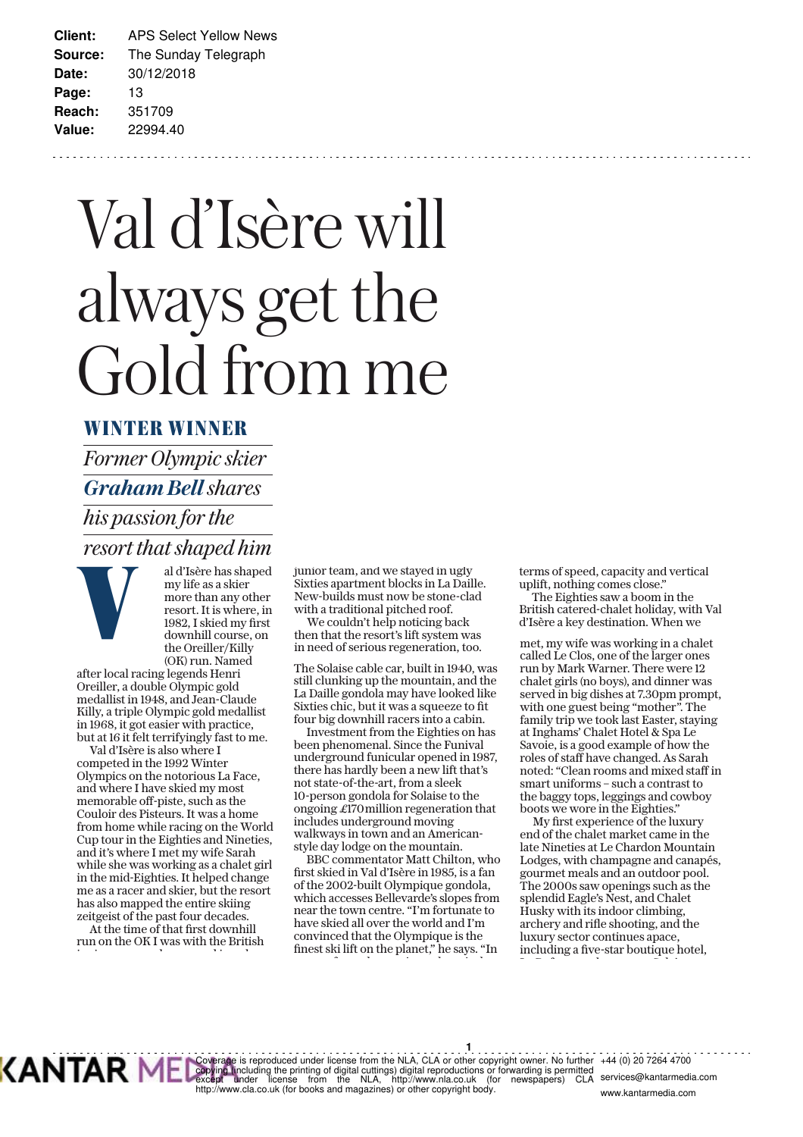# Val d'Isère will always get the Gold from me

#### **WINTER WINNER**

*Former Olympic skier Graham Bell shares his passion for the*  **resort that shaped him**<br>
al d'Isère has shaped<br>
my life as a skier<br>
more than any other<br>
resort. It is where, in<br>
1982, I skied my first<br>
downhill course. on



al d'Isère has shaped my life as a skier more than any other resort. It is where, in 1982. I skied my first downhill course, on the Oreiller/Killy (OK) run. Named

after local racing legends Henri Oreiller, a double Olympic gold medallist in 1948, and Jean-Claude Killy, a triple Olympic gold medallist in 1968, it got easier with practice, but at 16 it felt terrifyingly fast to me.

Val d'Isère is also where I competed in the 1992 Winter Olympics on the notorious La Face, and where I have skied my most memorable off-piste, such as the Couloir des Pisteurs. It was a home from home while racing on the World Cup tour in the Eighties and Nineties, and it's where I met my wife Sarah while she was working as a chalet girl in the mid-Eighties. It helped change me as a racer and skier, but the resort has also mapped the entire skiing zeitgeist of the past four decades.

At the time of that first downhill run on the OK I was with the British j i di landari di landari di landari di landari di landari di landari di landari di landari di landari di land<br>Di landari di landari di landari di landari di landari di landari di landari di landari di landari di landari

junior team, and we stayed in ugly Sixties apartment blocks in La Daille. New-builds must now be stone-clad with a traditional pitched roof.

We couldn't help noticing back then that the resort's lift system was in need of serious regeneration, too.

The Solaise cable car, built in 1940, was still clunking up the mountain, and the La Daille gondola may have looked like Sixties chic, but it was a squeeze to fit four big downhill racers into a cabin.

Investment from the Eighties on has been phenomenal. Since the Funival underground funicular opened in 1987, there has hardly been a new lift that's not state-of-the-art, from a sleek 10-person gondola for Solaise to the ongoing £170 million regeneration that includes underground moving walkways in town and an Americanstyle day lodge on the mountain.

BBC commentator Matt Chilton, who irst skied in Val d'Isère in 1985, is a fan of the 2002-built Olympique gondola, which accesses Bellevarde's slopes from near the town centre. "I'm fortunate to have skied all over the world and I'm convinced that the Olympique is the inest ski lift on the planet," he says. "In

f d'an deus d'an deus d'an deus de la partie de la partie de la partie de la partie de la partie de la partie<br>Des parties de la partie de la partie de la partie de la partie de la partie de la partie de la partie de la

terms of speed, capacity and vertical uplift, nothing comes close."

The Eighties saw a boom in the British catered-chalet holiday, with Val d'Isère a key destination. When we

met, my wife was working in a chalet called Le Clos, one of the larger ones run by Mark Warner. There were 12 chalet girls (no boys), and dinner was served in big dishes at 7.30pm prompt, with one guest being "mother". The family trip we took last Easter, staying at Inghams' Chalet Hotel & Spa Le Savoie, is a good example of how the roles of staff have changed. As Sarah noted: "Clean rooms and mixed staff in smart uniforms – such a contrast to the baggy tops, leggings and cowboy boots we wore in the Eighties."

My first experience of the luxury end of the chalet market came in the late Nineties at Le Chardon Mountain Lodges, with champagne and canapés, gourmet meals and an outdoor pool. The 2000s saw openings such as the splendid Eagle's Nest, and Chalet Husky with its indoor climbing, archery and rifle shooting, and the luxury sector continues apace, including a five-star boutique hotel,  $\mathbf{L} = \mathbf{0}$  slipped by  $\mathbf{L} = \mathbf{0}$ 



**1** Coverage is reproduced under license from the NLA, CLA or other copyright owner. No further<br>copying tincluding the printing of digital cuttings) digital reproductions or forwarding is permitted<br>except ander alicense from t +44 (0) 20 7264 4700 inu<del>c</del>u<br>CLA services@kantarmedia.com

www.kantarmedia.com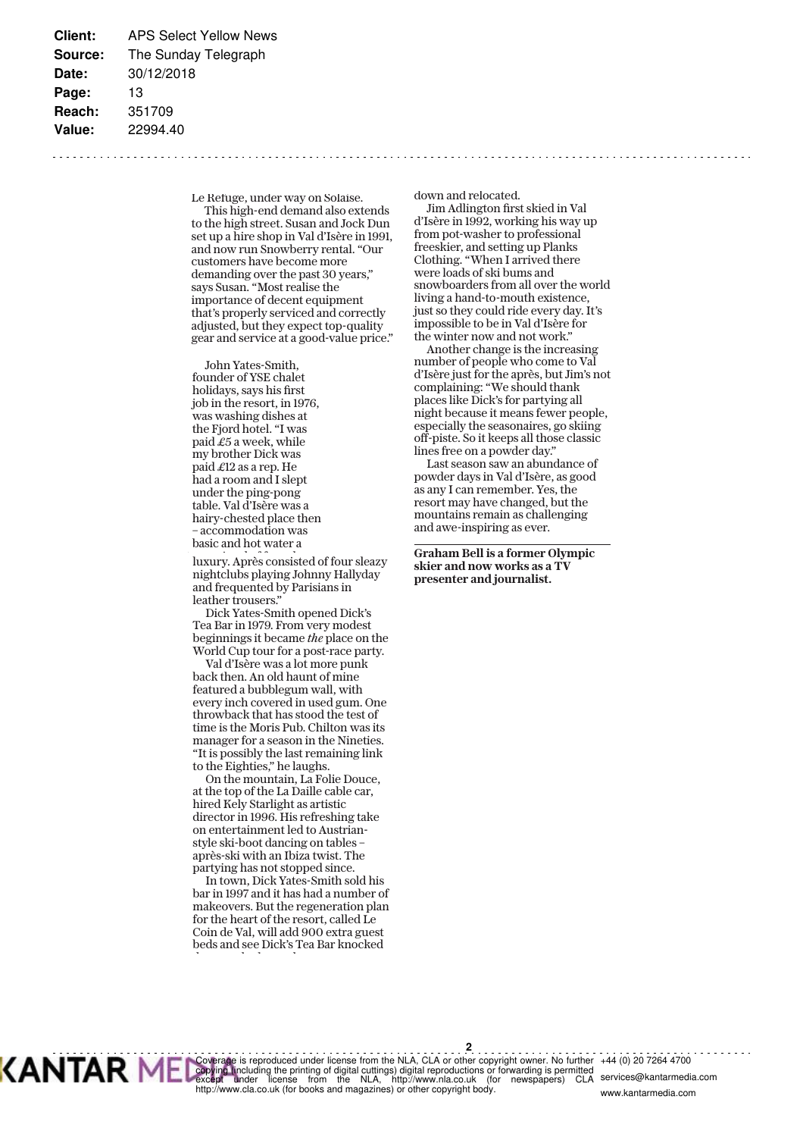Le Refuge, under way on Solaise. This high-end demand also extends to the high street. Susan and Jock Dun set up a hire shop in Val d'Isère in 1991, and now run Snowberry rental. "Our customers have become more demanding over the past 30 years," says Susan. "Most realise the importance of decent equipment that's properly serviced and correctly adjusted, but they expect top-quality gear and service at a good-value price."

John Yates-Smith, founder of YSE chalet holidays, says his first job in the resort, in 1976, was washing dishes at the Fiord hotel. "I was paid  $£5$  a week, while my brother Dick was paid £12 as a rep. He had a room and I slept under the ping-pong table. Val d'Isère was a hairy-chested place then – accommodation was basic and hot water a

luxury. Après consisted of four sleazy nightclubs playing Johnny Hallyday and frequented by Parisians in leather trousers."

Dick Yates-Smith opened Dick's Tea Bar in 1979. From very modest beginnings it became *the* place on the World Cup tour for a post-race party.

Val d'Isère was a lot more punk back then. An old haunt of mine featured a bubblegum wall, with every inch covered in used gum. One throwback that has stood the test of time is the Moris Pub. Chilton was its manager for a season in the Nineties. "It is possibly the last remaining link to the Eighties," he laughs.

On the mountain, La Folie Douce, at the top of the La Daille cable car, hired Kely Starlight as artistic director in 1996. His refreshing take on entertainment led to Austrianstyle ski-boot dancing on tables – après-ski with an Ibiza twist. The partying has not stopped since.

In town, Dick Yates-Smith sold his bar in 1997 and it has had a number of makeovers. But the regeneration plan for the heart of the resort, called Le Coin de Val, will add 900 extra guest beds and see Dick's Tea Bar knocked d d l d

down and relocated.

Jim Adlington first skied in Val d'Isère in 1992, working his way up from pot-washer to professional freeskier, and setting up Planks Clothing. "When I arrived there were loads of ski bums and snowboarders from all over the world living a hand-to-mouth existence, just so they could ride every day. It's impossible to be in Val d'Isère for the winter now and not work."

Another change is the increasing number of people who come to Val d'Isère just for the après, but Jim's not complaining: "We should thank places like Dick's for partying all night because it means fewer people, especially the seasonaires, go skiing off-piste. So it keeps all those classic lines free on a powder day."

Last season saw an abundance of powder days in Val d'Isère, as good as any I can remember. Yes, the resort may have changed, but the mountains remain as challenging and awe-inspiring as ever.

**Graham Bell is a former Olympic skier and now works as a TV presenter and journalist.**



. . . . . <del>2</del>. . . . . . Coverage is reproduced under license from the NLA, CLA or other copyright owner. No further<br>copying (including the printing of digital cuttings) digital reproductions or forwarding is permitted<br>except dinder license from t http://www.cla.co.uk (for books and magazines) or other copyright body. +44 (0) 20 7264 4700 miteu<br>CLA services@kantarmedia.com

www.kantarmedia.com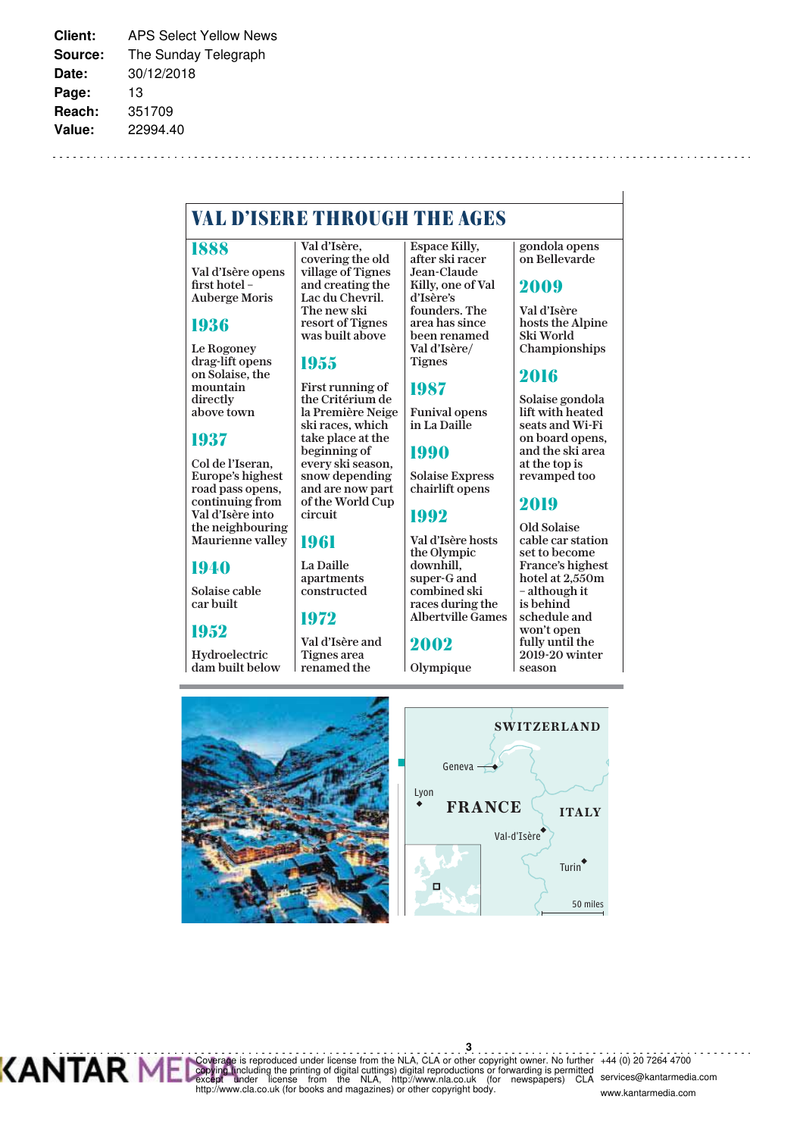# **VA L D'ISER E T H ROUGH T H E AGE S**

#### **1888**

Val d'Isère opens first hotel -Auberge Moris

#### **1936**

Le Rogoney drag-lift opens on Solaise, the mountain directly above town

#### **1937**

Col de l'Iseran, Europe's highest road pass opens, continuing from Val d'Isère into the neighbouring Maurienne valley

#### **1940**

Solaise cable car built

#### **1952**

Hydroelectric dam built below

Val d'Isère, covering the old village of Tignes and creating the Lac du Chevril. The new ski resort of Tignes was built above

#### **1955**

First running of the Critérium de la Première Neige ski races, which take place at the beginning of every ski season, snow depending and are now part of the World Cup circuit

#### **1961**

La Daille apartments constructed

#### **1972**

Val d'Isère and Tignes area renamed the

Espace Killy, after ski racer Jean-Claude Killy, one of Val d'Isère's founders. The area has since been renamed Val d'Isère/ Tignes

#### **1987**

Funival opens in La Daille **1990**

Solaise Express chairlift opens

### **1992**

Val d'Isère hosts the Olympic downhill, super-G and combined ski races during the Albertville Games

# **2002**

Olympique

gondola opens on Bellevarde

#### **2009**

Val d'Isère hosts the Alpine Ski World Championships

#### **2016**

Solaise gondola lift with heated seats and Wi-Fi on board opens, and the ski area at the top is revamped too

#### **2019** Old Solaise

cable car station set to become France's highest hotel at 2,550m – although it is behind schedule and won't open fully until the 2019-20 winter season





**3** Coverage is reproduced under license from the NLA, CLA or other copyright owner. No further<br>copying tincluding the printing of digital cuttings) digital reproductions or forwarding is permitted<br>except ander alicense from t +44 (0) 20 7264 4700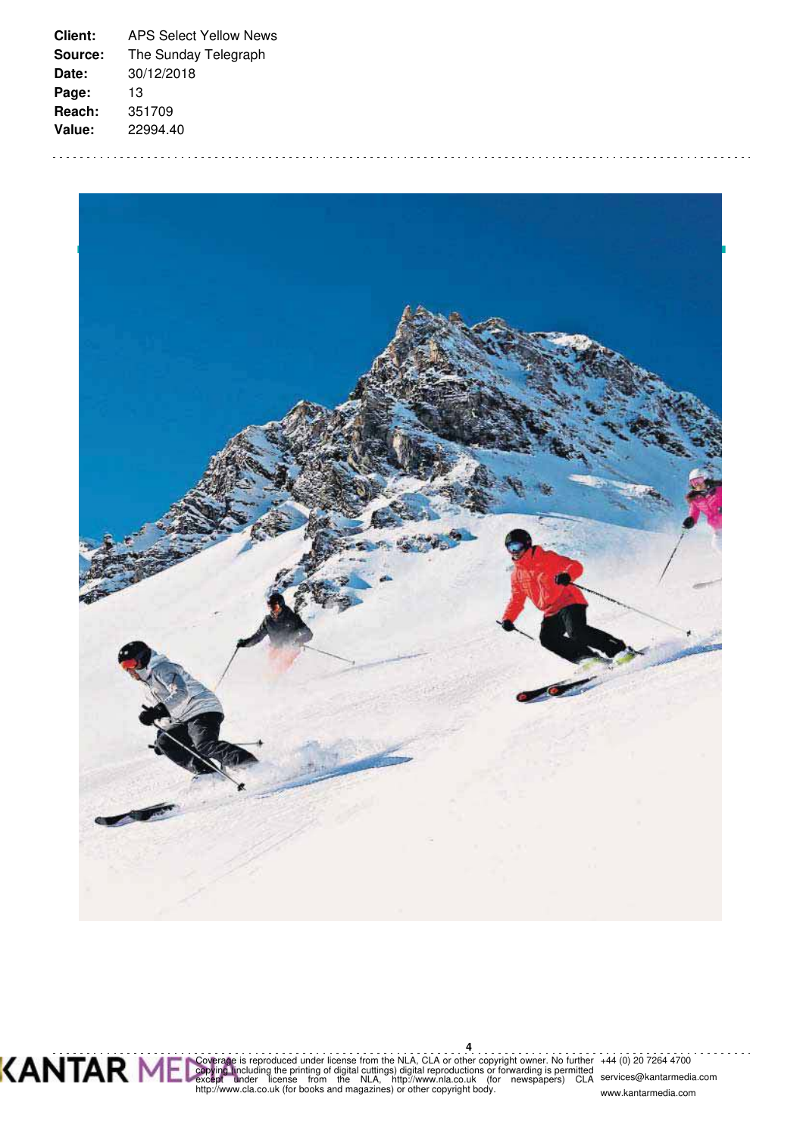



**4** Coverage is reproduced under license from the NLA, CLA or other copyright owner. No further<br>copying tincluding the printing of digital cuttings) digital reproductions or forwarding is permitted<br>except ander alicense from t +44 (0) 20 7264 4700

services@kantarmedia.com www.kantarmedia.com